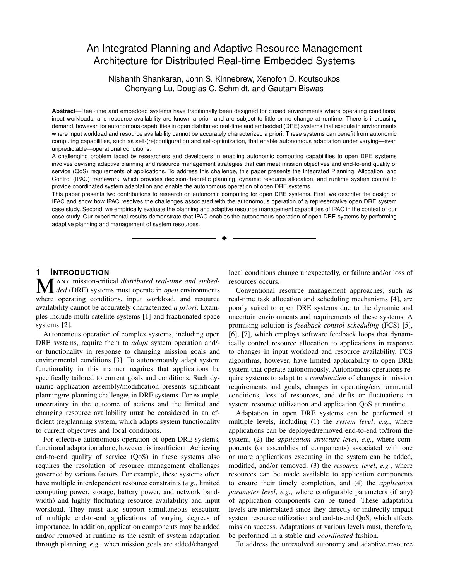# An Integrated Planning and Adaptive Resource Management Architecture for Distributed Real-time Embedded Systems

Nishanth Shankaran, John S. Kinnebrew, Xenofon D. Koutsoukos Chenyang Lu, Douglas C. Schmidt, and Gautam Biswas

**Abstract**—Real-time and embedded systems have traditionally been designed for closed environments where operating conditions, input workloads, and resource availability are known a priori and are subject to little or no change at runtime. There is increasing demand, however, for autonomous capabilities in open distributed real-time and embedded (DRE) systems that execute in environments where input workload and resource availability cannot be accurately characterized a priori. These systems can benefit from autonomic computing capabilities, such as self-(re)configuration and self-optimization, that enable autonomous adaptation under varying—even unpredictable—operational conditions.

A challenging problem faced by researchers and developers in enabling autonomic computing capabilities to open DRE systems involves devising adaptive planning and resource management strategies that can meet mission objectives and end-to-end quality of service (QoS) requirements of applications. To address this challenge, this paper presents the Integrated Planning, Allocation, and Control (IPAC) framework, which provides decision-theoretic planning, dynamic resource allocation, and runtime system control to provide coordinated system adaptation and enable the autonomous operation of open DRE systems.

This paper presents two contributions to research on autonomic computing for open DRE systems. First, we describe the design of IPAC and show how IPAC resolves the challenges associated with the autonomous operation of a representative open DRE system case study. Second, we empirically evaluate the planning and adaptive resource management capabilities of IPAC in the context of our case study. Our experimental results demonstrate that IPAC enables the autonomous operation of open DRE systems by performing adaptive planning and management of system resources.

✦

### **1 INTRODUCTION**

ANY mission-critical distributed real-time and embed*ded* (DRE) systems must operate in *open* environments where operating conditions, input workload, and resource availability cannot be accurately characterized *a priori*. Examples include multi-satellite systems [1] and fractionated space systems [2].

Autonomous operation of complex systems, including open DRE systems, require them to *adapt* system operation and/ or functionality in response to changing mission goals and environmental conditions [3]. To autonomously adapt system functionality in this manner requires that applications be specifically tailored to current goals and conditions. Such dynamic application assembly/modification presents significant planning/re-planning challenges in DRE systems. For example, uncertainty in the outcome of actions and the limited and changing resource availability must be considered in an efficient (re)planning system, which adapts system functionality to current objectives and local conditions.

For effective autonomous operation of open DRE systems, functional adaptation alone, however, is insufficient. Achieving end-to-end quality of service (QoS) in these systems also requires the resolution of resource management challenges governed by various factors. For example, these systems often have multiple interdependent resource constraints (*e.g.*, limited computing power, storage, battery power, and network bandwidth) and highly fluctuating resource availability and input workload. They must also support simultaneous execution of multiple end-to-end applications of varying degrees of importance. In addition, application components may be added and/or removed at runtime as the result of system adaptation through planning, *e.g.*, when mission goals are added/changed,

local conditions change unexpectedly, or failure and/or loss of resources occurs.

Conventional resource management approaches, such as real-time task allocation and scheduling mechanisms [4], are poorly suited to open DRE systems due to the dynamic and uncertain environments and requirements of these systems. A promising solution is *feedback control scheduling* (FCS) [5], [6], [7], which employs software feedback loops that dynamically control resource allocation to applications in response to changes in input workload and resource availability. FCS algorithms, however, have limited applicability to open DRE system that operate autonomously. Autonomous operations require systems to adapt to a *combination* of changes in mission requirements and goals, changes in operating/environmental conditions, loss of resources, and drifts or fluctuations in system resource utilization and application QoS at runtime.

Adaptation in open DRE systems can be performed at multiple levels, including (1) the *system level*, *e.g.*, where applications can be deployed/removed end-to-end to/from the system, (2) the *application structure level*, *e.g.*, where components (or assemblies of components) associated with one or more applications executing in the system can be added, modified, and/or removed, (3) the *resource level*, *e.g.*, where resources can be made available to application components to ensure their timely completion, and (4) the *application parameter level*, *e.g.*, where configurable parameters (if any) of application components can be tuned. These adaptation levels are interrelated since they directly or indirectly impact system resource utilization and end-to-end QoS, which affects mission success. Adaptations at various levels must, therefore, be performed in a stable and *coordinated* fashion.

To address the unresolved autonomy and adaptive resource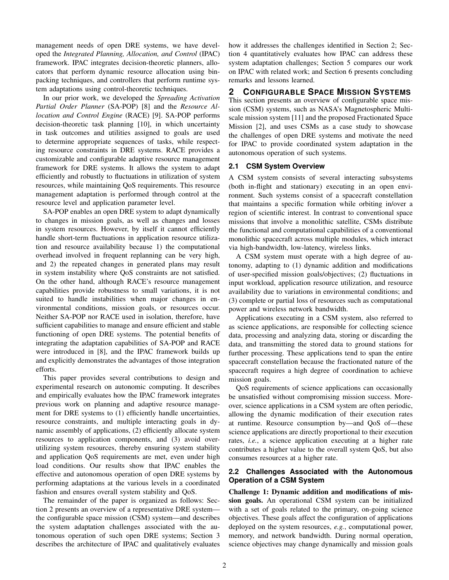management needs of open DRE systems, we have developed the *Integrated Planning, Allocation, and Control* (IPAC) framework. IPAC integrates decision-theoretic planners, allocators that perform dynamic resource allocation using binpacking techniques, and controllers that perform runtime system adaptations using control-theoretic techniques.

In our prior work, we developed the *Spreading Activation Partial Order Planner* (SA-POP) [8] and the *Resource Allocation and Control Engine* (RACE) [9]. SA-POP performs decision-theoretic task planning [10], in which uncertainty in task outcomes and utilities assigned to goals are used to determine appropriate sequences of tasks, while respecting resource constraints in DRE systems. RACE provides a customizable and configurable adaptive resource management framework for DRE systems. It allows the system to adapt efficiently and robustly to fluctuations in utilization of system resources, while maintaining QoS requirements. This resource management adaptation is performed through control at the resource level and application parameter level.

SA-POP enables an open DRE system to adapt dynamically to changes in mission goals, as well as changes and losses in system resources. However, by itself it cannot efficiently handle short-term fluctuations in application resource utilization and resource availability because 1) the computational overhead involved in frequent replanning can be very high, and 2) the repeated changes in generated plans may result in system instability where QoS constraints are not satisfied. On the other hand, although RACE's resource management capabilities provide robustness to small variations, it is not suited to handle instabilities when major changes in environmental conditions, mission goals, or resources occur. Neither SA-POP nor RACE used in isolation, therefore, have sufficient capabilities to manage and ensure efficient and stable functioning of open DRE systems. The potential benefits of integrating the adaptation capabilities of SA-POP and RACE were introduced in [8], and the IPAC framework builds up and explicitly demonstrates the advantages of those integration efforts.

This paper provides several contributions to design and experimental research on autonomic computing. It describes and empirically evaluates how the IPAC framework integrates previous work on planning and adaptive resource management for DRE systems to (1) efficiently handle uncertainties, resource constraints, and multiple interacting goals in dynamic assembly of applications, (2) efficiently allocate system resources to application components, and (3) avoid overutilizing system resources, thereby ensuring system stability and application QoS requirements are met, even under high load conditions. Our results show that IPAC enables the effective and autonomous operation of open DRE systems by performing adaptations at the various levels in a coordinated fashion and ensures overall system stability and QoS.

The remainder of the paper is organized as follows: Section 2 presents an overview of a representative DRE system the configurable space mission (CSM) system—and describes the system adaptation challenges associated with the autonomous operation of such open DRE systems; Section 3 describes the architecture of IPAC and qualitatively evaluates how it addresses the challenges identified in Section 2; Section 4 quantitatively evaluates how IPAC can address these system adaptation challenges; Section 5 compares our work on IPAC with related work; and Section 6 presents concluding remarks and lessons learned.

### **2 CONFIGURABLE SPACE MISSION SYSTEMS**

This section presents an overview of configurable space mission (CSM) systems, such as NASA's Magnetospheric Multiscale mission system [11] and the proposed Fractionated Space Mission [2], and uses CSMs as a case study to showcase the challenges of open DRE systems and motivate the need for IPAC to provide coordinated system adaptation in the autonomous operation of such systems.

#### **2.1 CSM System Overview**

A CSM system consists of several interacting subsystems (both in-flight and stationary) executing in an open environment. Such systems consist of a spacecraft constellation that maintains a specific formation while orbiting in/over a region of scientific interest. In contrast to conventional space missions that involve a monolithic satellite, CSMs distribute the functional and computational capabilities of a conventional monolithic spacecraft across multiple modules, which interact via high-bandwidth, low-latency, wireless links.

A CSM system must operate with a high degree of autonomy, adapting to (1) dynamic addition and modifications of user-specified mission goals/objectives; (2) fluctuations in input workload, application resource utilization, and resource availability due to variations in environmental conditions; and (3) complete or partial loss of resources such as computational power and wireless network bandwidth.

Applications executing in a CSM system, also referred to as science applications, are responsible for collecting science data, processing and analyzing data, storing or discarding the data, and transmitting the stored data to ground stations for further processing. These applications tend to span the entire spacecraft constellation because the fractionated nature of the spacecraft requires a high degree of coordination to achieve mission goals.

QoS requirements of science applications can occasionally be unsatisfied without compromising mission success. Moreover, science applications in a CSM system are often periodic, allowing the dynamic modification of their execution rates at runtime. Resource consumption by—and QoS of—these science applications are directly proportional to their execution rates, *i.e.*, a science application executing at a higher rate contributes a higher value to the overall system QoS, but also consumes resources at a higher rate.

### **2.2 Challenges Associated with the Autonomous Operation of a CSM System**

Challenge 1: Dynamic addition and modifications of mission goals. An operational CSM system can be initialized with a set of goals related to the primary, on-going science objectives. These goals affect the configuration of applications deployed on the system resources, *e.g.*, computational power, memory, and network bandwidth. During normal operation, science objectives may change dynamically and mission goals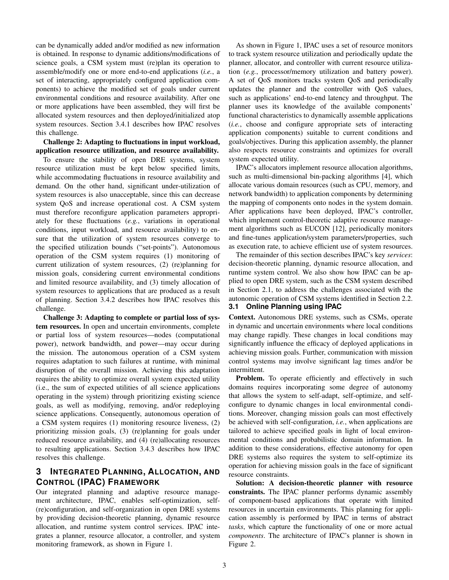can be dynamically added and/or modified as new information is obtained. In response to dynamic additions/modifications of science goals, a CSM system must (re)plan its operation to assemble/modify one or more end-to-end applications (*i.e.*, a set of interacting, appropriately configured application components) to achieve the modified set of goals under current environmental conditions and resource availability. After one or more applications have been assembled, they will first be allocated system resources and then deployed/initialized atop system resources. Section 3.4.1 describes how IPAC resolves this challenge.

Challenge 2: Adapting to fluctuations in input workload, application resource utilization, and resource availability.

To ensure the stability of open DRE systems, system resource utilization must be kept below specified limits, while accommodating fluctuations in resource availability and demand. On the other hand, significant under-utilization of system resources is also unacceptable, since this can decrease system QoS and increase operational cost. A CSM system must therefore reconfigure application parameters appropriately for these fluctuations (*e.g.*, variations in operational conditions, input workload, and resource availability) to ensure that the utilization of system resources converge to the specified utilization bounds ("set-points"). Autonomous operation of the CSM system requires (1) monitoring of current utilization of system resources, (2) (re)planning for mission goals, considering current environmental conditions and limited resource availability, and (3) timely allocation of system resources to applications that are produced as a result of planning. Section 3.4.2 describes how IPAC resolves this challenge.

Challenge 3: Adapting to complete or partial loss of system resources. In open and uncertain environments, complete or partial loss of system resources—nodes (computational power), network bandwidth, and power—may occur during the mission. The autonomous operation of a CSM system requires adaptation to such failures at runtime, with minimal disruption of the overall mission. Achieving this adaptation requires the ability to optimize overall system expected utility (i.e., the sum of expected utilities of all science applications operating in the system) through prioritizing existing science goals, as well as modifying, removing, and/or redeploying science applications. Consequently, autonomous operation of a CSM system requires (1) monitoring resource liveness, (2) prioritizing mission goals, (3) (re)planning for goals under reduced resource availability, and (4) (re)allocating resources to resulting applications. Section 3.4.3 describes how IPAC resolves this challenge.

## **3 INTEGRATED PLANNING, ALLOCATION, AND CONTROL (IPAC) FRAMEWORK**

Our integrated planning and adaptive resource management architecture, IPAC, enables self-optimization, self- (re)configuration, and self-organization in open DRE systems by providing decision-theoretic planning, dynamic resource allocation, and runtime system control services. IPAC integrates a planner, resource allocator, a controller, and system monitoring framework, as shown in Figure 1.

As shown in Figure 1, IPAC uses a set of resource monitors to track system resource utilization and periodically update the planner, allocator, and controller with current resource utilization (*e.g.*, processor/memory utilization and battery power). A set of QoS monitors tracks system QoS and periodically updates the planner and the controller with QoS values, such as applications' end-to-end latency and throughput. The planner uses its knowledge of the available components' functional characteristics to dynamically assemble applications (*i.e.*, choose and configure appropriate sets of interacting application components) suitable to current conditions and goals/objectives. During this application assembly, the planner also respects resource constraints and optimizes for overall system expected utility.

IPAC's allocators implement resource allocation algorithms, such as multi-dimensional bin-packing algorithms [4], which allocate various domain resources (such as CPU, memory, and network bandwidth) to application components by determining the mapping of components onto nodes in the system domain. After applications have been deployed, IPAC's controller, which implement control-theoretic adaptive resource management algorithms such as EUCON [12], periodically monitors and fine-tunes application/system parameters/properties, such as execution rate, to achieve efficient use of system resources.

The remainder of this section describes IPAC's key *services*: decision-theoretic planning, dynamic resource allocation, and runtime system control. We also show how IPAC can be applied to open DRE system, such as the CSM system described in Section 2.1, to address the challenges associated with the autonomic operation of CSM systems identified in Section 2.2.

### **3.1 Online Planning using IPAC**

Context. Autonomous DRE systems, such as CSMs, operate in dynamic and uncertain environments where local conditions may change rapidly. These changes in local conditions may significantly influence the efficacy of deployed applications in achieving mission goals. Further, communication with mission control systems may involve significant lag times and/or be intermittent.

Problem. To operate efficiently and effectively in such domains requires incorporating some degree of autonomy that allows the system to self-adapt, self-optimize, and selfconfigure to dynamic changes in local environmental conditions. Moreover, changing mission goals can most effectively be achieved with self-configuration, *i.e.*, when applications are tailored to achieve specified goals in light of local environmental conditions and probabilistic domain information. In addition to these considerations, effective autonomy for open DRE systems also requires the system to self-optimize its operation for achieving mission goals in the face of significant resource constraints.

Solution: A decision-theoretic planner with resource constraints. The IPAC planner performs dynamic assembly of component-based applications that operate with limited resources in uncertain environments. This planning for application assembly is performed by IPAC in terms of abstract *tasks*, which capture the functionality of one or more actual *components*. The architecture of IPAC's planner is shown in Figure 2.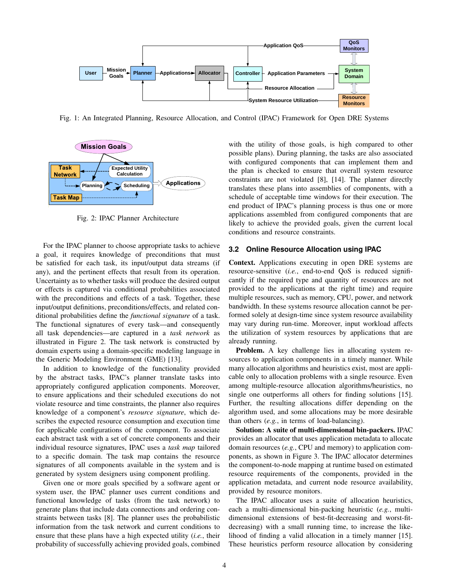

Fig. 1: An Integrated Planning, Resource Allocation, and Control (IPAC) Framework for Open DRE Systems



Fig. 2: IPAC Planner Architecture

For the IPAC planner to choose appropriate tasks to achieve a goal, it requires knowledge of preconditions that must be satisfied for each task, its input/output data streams (if any), and the pertinent effects that result from its operation. Uncertainty as to whether tasks will produce the desired output or effects is captured via conditional probabilities associated with the preconditions and effects of a task. Together, these input/output definitions, preconditions/effects, and related conditional probabilities define the *functional signature* of a task. The functional signatures of every task—and consequently all task dependencies—are captured in a *task network* as illustrated in Figure 2. The task network is constructed by domain experts using a domain-specific modeling language in the Generic Modeling Environment (GME) [13].

In addition to knowledge of the functionality provided by the abstract tasks, IPAC's planner translate tasks into appropriately configured application components. Moreover, to ensure applications and their scheduled executions do not violate resource and time constraints, the planner also requires knowledge of a component's *resource signature*, which describes the expected resource consumption and execution time for applicable configurations of the component. To associate each abstract task with a set of concrete components and their individual resource signatures, IPAC uses a *task map* tailored to a specific domain. The task map contains the resource signatures of all components available in the system and is generated by system designers using component profiling.

Given one or more goals specified by a software agent or system user, the IPAC planner uses current conditions and functional knowledge of tasks (from the task network) to generate plans that include data connections and ordering constraints between tasks [8]. The planner uses the probabilistic information from the task network and current conditions to ensure that these plans have a high expected utility (*i.e.*, their probability of successfully achieving provided goals, combined

with the utility of those goals, is high compared to other possible plans). During planning, the tasks are also associated with configured components that can implement them and the plan is checked to ensure that overall system resource constraints are not violated [8], [14]. The planner directly translates these plans into assemblies of components, with a schedule of acceptable time windows for their execution. The end product of IPAC's planning process is thus one or more applications assembled from configured components that are likely to achieve the provided goals, given the current local conditions and resource constraints.

### **3.2 Online Resource Allocation using IPAC**

Context. Applications executing in open DRE systems are resource-sensitive (*i.e.*, end-to-end QoS is reduced significantly if the required type and quantity of resources are not provided to the applications at the right time) and require multiple resources, such as memory, CPU, power, and network bandwidth. In these systems resource allocation cannot be performed solely at design-time since system resource availability may vary during run-time. Moreover, input workload affects the utilization of system resources by applications that are already running.

Problem. A key challenge lies in allocating system resources to application components in a timely manner. While many allocation algorithms and heuristics exist, most are applicable only to allocation problems with a single resource. Even among multiple-resource allocation algorithms/heuristics, no single one outperforms all others for finding solutions [15]. Further, the resulting allocations differ depending on the algorithm used, and some allocations may be more desirable than others (*e.g.*, in terms of load-balancing).

Solution: A suite of multi-dimensional bin-packers. IPAC provides an allocator that uses application metadata to allocate domain resources (*e.g.*, CPU and memory) to application components, as shown in Figure 3. The IPAC allocator determines the component-to-node mapping at runtime based on estimated resource requirements of the components, provided in the application metadata, and current node resource availability, provided by resource monitors.

The IPAC allocator uses a suite of allocation heuristics, each a multi-dimensional bin-packing heuristic (*e.g.*, multidimensional extensions of best-fit-decreasing and worst-fitdecreasing) with a small running time, to increase the likelihood of finding a valid allocation in a timely manner [15]. These heuristics perform resource allocation by considering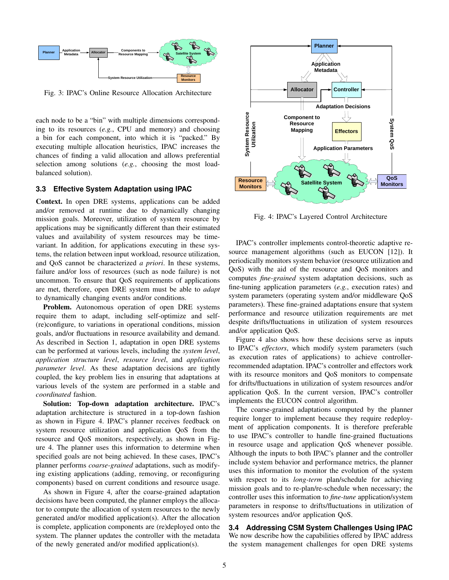

Fig. 3: IPAC's Online Resource Allocation Architecture

each node to be a "bin" with multiple dimensions corresponding to its resources (*e.g.*, CPU and memory) and choosing a bin for each component, into which it is "packed." By executing multiple allocation heuristics, IPAC increases the chances of finding a valid allocation and allows preferential selection among solutions (*e.g.*, choosing the most loadbalanced solution).

### **3.3 Effective System Adaptation using IPAC**

Context. In open DRE systems, applications can be added and/or removed at runtime due to dynamically changing mission goals. Moreover, utilization of system resource by applications may be significantly different than their estimated values and availability of system resources may be timevariant. In addition, for applications executing in these systems, the relation between input workload, resource utilization, and QoS cannot be characterized *a priori*. In these systems, failure and/or loss of resources (such as node failure) is not uncommon. To ensure that QoS requirements of applications are met, therefore, open DRE system must be able to *adapt* to dynamically changing events and/or conditions.

Problem. Autonomous operation of open DRE systems require them to adapt, including self-optimize and self- (re)configure, to variations in operational conditions, mission goals, and/or fluctuations in resource availability and demand. As described in Section 1, adaptation in open DRE systems can be performed at various levels, including the *system level*, *application structure level*, *resource level*, and *application parameter level*. As these adaptation decisions are tightly coupled, the key problem lies in ensuring that adaptations at various levels of the system are performed in a stable and *coordinated* fashion.

Solution: Top-down adaptation architecture. IPAC's adaptation architecture is structured in a top-down fashion as shown in Figure 4. IPAC's planner receives feedback on system resource utilization and application QoS from the resource and QoS monitors, respectively, as shown in Figure 4. The planner uses this information to determine when specified goals are not being achieved. In these cases, IPAC's planner performs *coarse-grained* adaptations, such as modifying existing applications (adding, removing, or reconfiguring components) based on current conditions and resource usage.

As shown in Figure 4, after the coarse-grained adaptation decisions have been computed, the planner employs the allocator to compute the allocation of system resources to the newly generated and/or modified application(s). After the allocation is complete, application components are (re)deployed onto the system. The planner updates the controller with the metadata of the newly generated and/or modified application(s).



Fig. 4: IPAC's Layered Control Architecture

IPAC's controller implements control-theoretic adaptive resource management algorithms (such as EUCON [12]). It periodically monitors system behavior (resource utilization and QoS) with the aid of the resource and QoS monitors and computes *fine-grained* system adaptation decisions, such as fine-tuning application parameters (*e.g.*, execution rates) and system parameters (operating system and/or middleware QoS parameters). These fine-grained adaptations ensure that system performance and resource utilization requirements are met despite drifts/fluctuations in utilization of system resources and/or application QoS.

Figure 4 also shows how these decisions serve as inputs to IPAC's *effectors*, which modify system parameters (such as execution rates of applications) to achieve controllerrecommended adaptation. IPAC's controller and effectors work with its resource monitors and QoS monitors to compensate for drifts/fluctuations in utilization of system resources and/or application QoS. In the current version, IPAC's controller implements the EUCON control algorithm.

The coarse-grained adaptations computed by the planner require longer to implement because they require redeployment of application components. It is therefore preferable to use IPAC's controller to handle fine-grained fluctuations in resource usage and application QoS whenever possible. Although the inputs to both IPAC's planner and the controller include system behavior and performance metrics, the planner uses this information to monitor the evolution of the system with respect to its *long-term* plan/schedule for achieving mission goals and to re-plan/re-schedule when necessary; the controller uses this information to *fine-tune* application/system parameters in response to drifts/fluctuations in utilization of system resources and/or application QoS.

**3.4 Addressing CSM System Challenges Using IPAC** We now describe how the capabilities offered by IPAC address the system management challenges for open DRE systems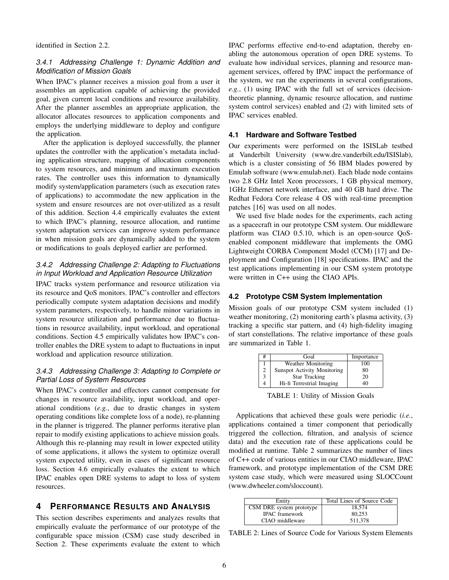identified in Section 2.2.

### *3.4.1 Addressing Challenge 1: Dynamic Addition and Modification of Mission Goals*

When IPAC's planner receives a mission goal from a user it assembles an application capable of achieving the provided goal, given current local conditions and resource availability. After the planner assembles an appropriate application, the allocator allocates resources to application components and employs the underlying middleware to deploy and configure the application.

After the application is deployed successfully, the planner updates the controller with the application's metadata including application structure, mapping of allocation components to system resources, and minimum and maximum execution rates. The controller uses this information to dynamically modify system/application parameters (such as execution rates of applications) to accommodate the new application in the system and ensure resources are not over-utilized as a result of this addition. Section 4.4 empirically evaluates the extent to which IPAC's planning, resource allocation, and runtime system adaptation services can improve system performance in when mission goals are dynamically added to the system or modifications to goals deployed earlier are performed.

### *3.4.2 Addressing Challenge 2: Adapting to Fluctuations in Input Workload and Application Resource Utilization*

IPAC tracks system performance and resource utilization via its resource and QoS monitors. IPAC's controller and effectors periodically compute system adaptation decisions and modify system parameters, respectively, to handle minor variations in system resource utilization and performance due to fluctuations in resource availability, input workload, and operational conditions. Section 4.5 empirically validates how IPAC's controller enables the DRE system to adapt to fluctuations in input workload and application resource utilization.

### *3.4.3 Addressing Challenge 3: Adapting to Complete or Partial Loss of System Resources*

When IPAC's controller and effectors cannot compensate for changes in resource availability, input workload, and operational conditions (*e.g.*, due to drastic changes in system operating conditions like complete loss of a node), re-planning in the planner is triggered. The planner performs iterative plan repair to modify existing applications to achieve mission goals. Although this re-planning may result in lower expected utility of some applications, it allows the system to optimize overall system expected utility, even in cases of significant resource loss. Section 4.6 empirically evaluates the extent to which IPAC enables open DRE systems to adapt to loss of system resources.

### **4 PERFORMANCE RESULTS AND ANALYSIS**

This section describes experiments and analyzes results that empirically evaluate the performance of our prototype of the configurable space mission (CSM) case study described in Section 2. These experiments evaluate the extent to which IPAC performs effective end-to-end adaptation, thereby enabling the autonomous operation of open DRE systems. To evaluate how individual services, planning and resource management services, offered by IPAC impact the performance of the system, we ran the experiments in several configurations, *e.g.*, (1) using IPAC with the full set of services (decisiontheoretic planning, dynamic resource allocation, and runtime system control services) enabled and (2) with limited sets of IPAC services enabled.

### **4.1 Hardware and Software Testbed**

Our experiments were performed on the ISISLab testbed at Vanderbilt University (www.dre.vanderbilt.edu/ISISlab), which is a cluster consisting of 56 IBM blades powered by Emulab software (www.emulab.net). Each blade node contains two 2.8 GHz Intel Xeon processors, 1 GB physical memory, 1GHz Ethernet network interface, and 40 GB hard drive. The Redhat Fedora Core release 4 OS with real-time preemption patches [16] was used on all nodes.

We used five blade nodes for the experiments, each acting as a spacecraft in our prototype CSM system. Our middleware platform was CIAO 0.5.10, which is an open-source QoSenabled component middleware that implements the OMG Lightweight CORBA Component Model (CCM) [17] and Deployment and Configuration [18] specifications. IPAC and the test applications implementing in our CSM system prototype were written in C++ using the CIAO APIs.

### **4.2 Prototype CSM System Implementation**

Mission goals of our prototype CSM system included (1) weather monitoring, (2) monitoring earth's plasma activity, (3) tracking a specific star pattern, and (4) high-fidelity imaging of start constellations. The relative importance of these goals are summarized in Table 1.

| # | Goal                               | Importance |
|---|------------------------------------|------------|
|   | Weather Monitoring                 | 100        |
| 2 | <b>Sunspot Activity Monitoring</b> | 80         |
| 3 | <b>Star Tracking</b>               | 20         |
|   | Hi-fi Terrestrial Imaging          | 10         |

TABLE 1: Utility of Mission Goals

Applications that achieved these goals were periodic (*i.e.*, applications contained a timer component that periodically triggered the collection, filtration, and analysis of science data) and the execution rate of these applications could be modified at runtime. Table 2 summarizes the number of lines of C++ code of various entities in our CIAO middleware, IPAC framework, and prototype implementation of the CSM DRE system case study, which were measured using SLOCCount (www.dwheeler.com/sloccount).

| Entity                   | Total Lines of Source Code |
|--------------------------|----------------------------|
| CSM DRE system prototype | 18.574                     |
| <b>IPAC</b> framework    | 80.253                     |
| CIAO middleware          | 511.378                    |

TABLE 2: Lines of Source Code for Various System Elements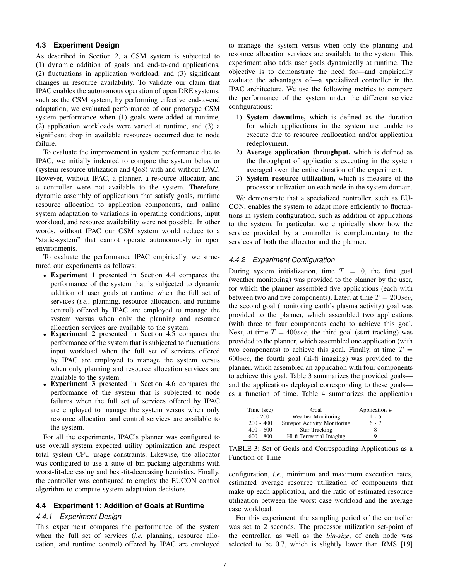### **4.3 Experiment Design**

As described in Section 2, a CSM system is subjected to (1) dynamic addition of goals and end-to-end applications, (2) fluctuations in application workload, and (3) significant changes in resource availability. To validate our claim that IPAC enables the autonomous operation of open DRE systems, such as the CSM system, by performing effective end-to-end adaptation, we evaluated performance of our prototype CSM system performance when (1) goals were added at runtime, (2) application workloads were varied at runtime, and (3) a significant drop in available resources occurred due to node failure.

To evaluate the improvement in system performance due to IPAC, we initially indented to compare the system behavior (system resource utilization and QoS) with and without IPAC. However, without IPAC, a planner, a resource allocator, and a controller were not available to the system. Therefore, dynamic assembly of applications that satisfy goals, runtime resource allocation to application components, and online system adaptation to variations in operating conditions, input workload, and resource availability were not possible. In other words, without IPAC our CSM system would reduce to a "static-system" that cannot operate autonomously in open environments.

To evaluate the performance IPAC empirically, we structured our experiments as follows:

- Experiment 1 presented in Section 4.4 compares the performance of the system that is subjected to dynamic addition of user goals at runtime when the full set of services (*i.e.*, planning, resource allocation, and runtime control) offered by IPAC are employed to manage the system versus when only the planning and resource allocation services are available to the system.
- **Experiment 2** presented in Section 4.5 compares the performance of the system that is subjected to fluctuations input workload when the full set of services offered by IPAC are employed to manage the system versus when only planning and resource allocation services are available to the system.
- **Experiment 3** presented in Section 4.6 compares the performance of the system that is subjected to node failures when the full set of services offered by IPAC are employed to manage the system versus when only resource allocation and control services are available to the system.

For all the experiments, IPAC's planner was configured to use overall system expected utility optimization and respect total system CPU usage constraints. Likewise, the allocator was configured to use a suite of bin-packing algorithms with worst-fit-decreasing and best-fit-decreasing heuristics. Finally, the controller was configured to employ the EUCON control algorithm to compute system adaptation decisions.

#### **4.4 Experiment 1: Addition of Goals at Runtime**

#### *4.4.1 Experiment Design*

This experiment compares the performance of the system when the full set of services (*i.e.* planning, resource allocation, and runtime control) offered by IPAC are employed

to manage the system versus when only the planning and resource allocation services are available to the system. This experiment also adds user goals dynamically at runtime. The objective is to demonstrate the need for—and empirically evaluate the advantages of—a specialized controller in the IPAC architecture. We use the following metrics to compare the performance of the system under the different service configurations:

- 1) System downtime, which is defined as the duration for which applications in the system are unable to execute due to resource reallocation and/or application redeployment.
- 2) Average application throughput, which is defined as the throughput of applications executing in the system averaged over the entire duration of the experiment.
- 3) System resource utilization, which is measure of the processor utilization on each node in the system domain.

We demonstrate that a specialized controller, such as EU-CON, enables the system to adapt more efficiently to fluctuations in system configuration, such as addition of applications to the system. In particular, we empirically show how the service provided by a controller is complementary to the services of both the allocator and the planner.

#### *4.4.2 Experiment Configuration*

During system initialization, time  $T = 0$ , the first goal (weather monitoring) was provided to the planner by the user, for which the planner assembled five applications (each with between two and five components). Later, at time  $T = 200 \text{sec}$ , the second goal (monitoring earth's plasma activity) goal was provided to the planner, which assembled two applications (with three to four components each) to achieve this goal. Next, at time  $T = 400 \text{sec}$ , the third goal (start tracking) was provided to the planner, which assembled one application (with two components) to achieve this goal. Finally, at time  $T =$ 600sec, the fourth goal (hi-fi imaging) was provided to the planner, which assembled an application with four components to achieve this goal. Table 3 summarizes the provided goals and the applications deployed corresponding to these goals as a function of time. Table 4 summarizes the application

| Time (sec)  | Goal                               | Application # |
|-------------|------------------------------------|---------------|
| $0 - 200$   | Weather Monitoring                 | 1 - 5         |
| $200 - 400$ | <b>Sunspot Activity Monitoring</b> | $6 - 7$       |
| $400 - 600$ | Star Tracking                      |               |
| $600 - 800$ | Hi-fi Terrestrial Imaging          |               |

TABLE 3: Set of Goals and Corresponding Applications as a Function of Time

configuration, *i.e.*, minimum and maximum execution rates, estimated average resource utilization of components that make up each application, and the ratio of estimated resource utilization between the worst case workload and the average case workload.

For this experiment, the sampling period of the controller was set to 2 seconds. The processor utilization set-point of the controller, as well as the *bin-size*, of each node was selected to be 0.7, which is slightly lower than RMS [19]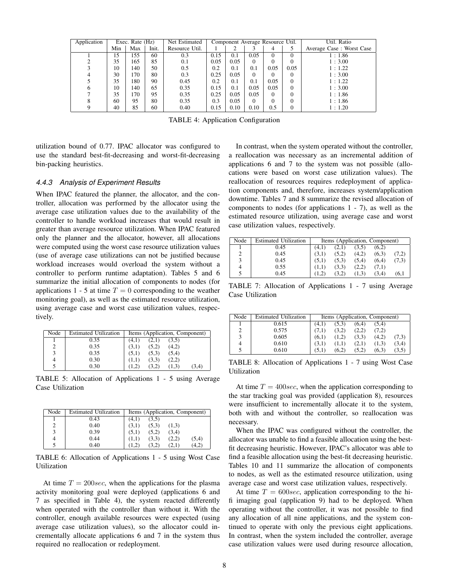| Application |     | Exec. Rate $(Hz)$ |       | Net Estimated  | Component Average Resource Util. |      |      |          |          | Util. Ratio              |  |
|-------------|-----|-------------------|-------|----------------|----------------------------------|------|------|----------|----------|--------------------------|--|
|             | Min | Max               | Init. | Resource Util. |                                  |      |      | 4        |          | Average Case: Worst Case |  |
|             | 15  | 155               | 60    | 0.3            | 0.15                             | 0.1  | 0.05 | $\theta$ | $\theta$ | 1:1.86                   |  |
|             | 35  | 165               | 85    | 0.1            | 0.05                             | 0.05 | 0    | 0        | 0        | 1:3.00                   |  |
|             | 10  | 140               | 50    | 0.5            | 0.2                              | 0.1  | 0.1  | 0.05     | 0.05     | 1:1.22                   |  |
|             | 30  | 170               | 80    | 0.3            | 0.25                             | 0.05 | 0    | 0        | 0        | 1:3.00                   |  |
|             | 35  | 180               | 90    | 0.45           | 0.2                              | 0.1  | 0.1  | 0.05     | $\Omega$ | 1:1.22                   |  |
|             | 10  | 140               | 65    | 0.35           | 0.15                             | 0.1  | 0.05 | 0.05     | $\Omega$ | 1:3.00                   |  |
|             | 35  | 170               | 95    | 0.35           | 0.25                             | 0.05 | 0.05 | 0        | 0        | 1:1.86                   |  |
|             | 60  | 95                | 80    | 0.35           | 0.3                              | 0.05 | 0    | 0        | 0        | 1:1.86                   |  |
|             | 40  | 85                | 60    | 0.40           | 0.15                             | 0.10 | 0.10 | 0.5      | 0        | 1:1.20                   |  |

TABLE 4: Application Configuration

utilization bound of 0.77. IPAC allocator was configured to use the standard best-fit-decreasing and worst-fit-decreasing bin-packing heuristics.

### *4.4.3 Analysis of Experiment Results*

When IPAC featured the planner, the allocator, and the controller, allocation was performed by the allocator using the average case utilization values due to the availability of the controller to handle workload increases that would result in greater than average resource utilization. When IPAC featured only the planner and the allocator, however, all allocations were computed using the worst case resource utilization values (use of average case utilizations can not be justified because workload increases would overload the system without a controller to perform runtime adaptation). Tables 5 and 6 summarize the initial allocation of components to nodes (for applications 1 - 5 at time  $T = 0$  corresponding to the weather monitoring goal), as well as the estimated resource utilization, using average case and worst case utilization values, respectively.

| Node | <b>Estimated Utilization</b> | Items (Application, Component) |
|------|------------------------------|--------------------------------|
|      | 0.35                         | (2,1)<br>(3.5)<br>4. F         |
| C    | 0.35                         | (4,2)<br>(5,2)                 |
| 3    | 0.35                         | (5.4)<br>(5,3)<br>(5,1)        |
| 4    | 0.30                         | (3,3)<br>(2,2)                 |
|      | 0.30                         | 3.4                            |

TABLE 5: Allocation of Applications 1 - 5 using Average Case Utilization

| Node | <b>Estimated Utilization</b> | Items (Application, Component)  |
|------|------------------------------|---------------------------------|
|      | 0.43                         | (3,5)<br>4,1)                   |
| 2    | 0.40                         | (5,3)<br>(3.1)<br>(1,3)         |
| 3    | 0.39                         | (3,4)<br>(5,2)<br>(5.1)         |
|      | 0.44                         | (3,3)<br>(2,2)<br>(5,4)<br>1.1) |
| 5    | 0.40                         | (3.2)                           |

TABLE 6: Allocation of Applications 1 - 5 using Wost Case Utilization

At time  $T = 200 \text{sec}$ , when the applications for the plasma activity monitoring goal were deployed (applications 6 and 7 as specified in Table 4), the system reacted differently when operated with the controller than without it. With the controller, enough available resources were expected (using average case utilization values), so the allocator could incrementally allocate applications 6 and 7 in the system thus required no reallocation or redeployment.

In contrast, when the system operated without the controller, a reallocation was necessary as an incremental addition of applications 6 and 7 to the system was not possible (allocations were based on worst case utilization values). The reallocation of resources requires redeployment of application components and, therefore, increases system/application downtime. Tables 7 and 8 summarize the revised allocation of components to nodes (for applications 1 - 7), as well as the estimated resource utilization, using average case and worst case utilization values, respectively.

| Node          | <b>Estimated Utilization</b> |       | Items (Application, Component) |       |       |
|---------------|------------------------------|-------|--------------------------------|-------|-------|
|               | 0.45                         | (2,1) | (3.5)                          | (6,2) |       |
| $\mathcal{D}$ | 0.45                         | (5,2) | (4,2)                          | (6,3) | 1,2   |
| 3             | 0.45                         | (5,3) | (5,4)                          | (6,4) | 1,3   |
|               | 0.55                         | (3,3) | (2,2)                          | (7.1) |       |
|               | 0.45                         | (3.2) | $1.3^{\circ}$                  | (3.4) | (6.1) |

TABLE 7: Allocation of Applications 1 - 7 using Average Case Utilization

| Node | <b>Estimated Utilization</b> |       |       | Items (Application, Component) |       |       |
|------|------------------------------|-------|-------|--------------------------------|-------|-------|
|      | 0.615                        | (4.1) | (5,3) | (6,4)                          | (5,4) |       |
| 2    | 0.575                        |       | (3,2) | (2,2)                          | (7,2) |       |
| 3    | 0.605                        | (6.1) | (1,2) | (3,3)                          | (4,2) | 7.3   |
|      | 0.610                        |       | (1,1) | (2,1)                          | (1,3) | (3,4) |
|      | 0.610                        |       | (6.2) | (5.2)                          | (6.3) |       |

TABLE 8: Allocation of Applications 1 - 7 using Wost Case Utilization

At time  $T = 400 \text{sec}$ , when the application corresponding to the star tracking goal was provided (application 8), resources were insufficient to incrementally allocate it to the system, both with and without the controller, so reallocation was necessary.

When the IPAC was configured without the controller, the allocator was unable to find a feasible allocation using the bestfit decreasing heuristic. However, IPAC's allocator was able to find a feasible allocation using the best-fit decreasing heuristic. Tables 10 and 11 summarize the allocation of components to nodes, as well as the estimated resource utilization, using average case and worst case utilization values, respectively.

At time  $T = 600sec$ , application corresponding to the hifi imaging goal (application 9) had to be deployed. When operating without the controller, it was not possible to find any allocation of all nine applications, and the system continued to operate with only the previous eight applications. In contrast, when the system included the controller, average case utilization values were used during resource allocation,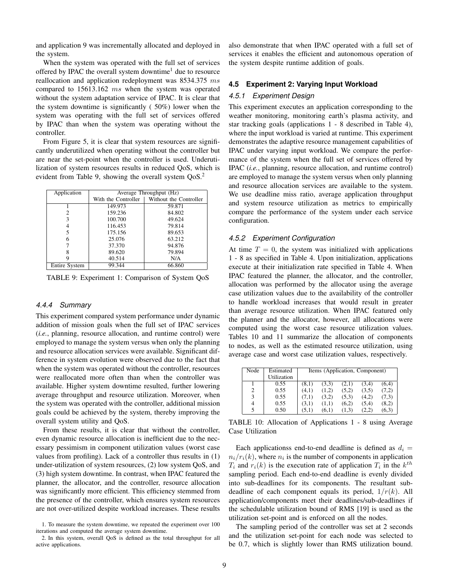and application 9 was incrementally allocated and deployed in the system.

When the system was operated with the full set of services offered by IPAC the overall system downtime<sup>1</sup> due to resource reallocation and application redeployment was 8534.375 ms compared to 15613.162 ms when the system was operated without the system adaptation service of IPAC. It is clear that the system downtime is significantly ( 50%) lower when the system was operating with the full set of services offered by IPAC than when the system was operating without the controller.

From Figure 5, it is clear that system resources are significantly underutilized when operating without the controller but are near the set-point when the controller is used. Underutilization of system resources results in reduced QoS, which is evident from Table 9, showing the overall system QoS.<sup>2</sup>

| Application          | Average Throughput (Hz) |                                                        |  |  |  |  |  |
|----------------------|-------------------------|--------------------------------------------------------|--|--|--|--|--|
|                      |                         | With the Controller $\parallel$ Without the Controller |  |  |  |  |  |
|                      | 149.973                 | 59.871                                                 |  |  |  |  |  |
|                      | 159.236                 | 84.802                                                 |  |  |  |  |  |
| 3                    | 100.700                 | 49.624                                                 |  |  |  |  |  |
|                      | 116.453                 | 79.814                                                 |  |  |  |  |  |
| 5                    | 175.156                 | 89.653                                                 |  |  |  |  |  |
| 6                    | 25.076                  | 63.212                                                 |  |  |  |  |  |
|                      | 37.370                  | 94.876                                                 |  |  |  |  |  |
| 8                    | 89.620                  | 79.894                                                 |  |  |  |  |  |
|                      | 40.514                  | N/A                                                    |  |  |  |  |  |
| <b>Entire System</b> | 99.344                  | 66.860                                                 |  |  |  |  |  |

TABLE 9: Experiment 1: Comparison of System QoS

#### *4.4.4 Summary*

This experiment compared system performance under dynamic addition of mission goals when the full set of IPAC services (*i.e.*, planning, resource allocation, and runtime control) were employed to manage the system versus when only the planning and resource allocation services were available. Significant difference in system evolution were observed due to the fact that when the system was operated without the controller, resources were reallocated more often than when the controller was available. Higher system downtime resulted, further lowering average throughput and resource utilization. Moreover, when the system was operated with the controller, additional mission goals could be achieved by the system, thereby improving the overall system utility and QoS.

From these results, it is clear that without the controller, even dynamic resource allocation is inefficient due to the necessary pessimism in component utilization values (worst case values from profiling). Lack of a controller thus results in (1) under-utilization of system resources, (2) low system QoS, and (3) high system downtime. In contrast, when IPAC featured the planner, the allocator, and the controller, resource allocation was significantly more efficient. This efficiency stemmed from the presence of the controller, which ensures system resources are not over-utilized despite workload increases. These results also demonstrate that when IPAC operated with a full set of services it enables the efficient and autonomous operation of the system despite runtime addition of goals.

### **4.5 Experiment 2: Varying Input Workload**

#### *4.5.1 Experiment Design*

This experiment executes an application corresponding to the weather monitoring, monitoring earth's plasma activity, and star tracking goals (applications 1 - 8 described in Table 4), where the input workload is varied at runtime. This experiment demonstrates the adaptive resource management capabilities of IPAC under varying input workload. We compare the performance of the system when the full set of services offered by IPAC (*i.e.*, planning, resource allocation, and runtime control) are employed to manage the system versus when only planning and resource allocation services are available to the system. We use deadline miss ratio, average application throughput and system resource utilization as metrics to empirically compare the performance of the system under each service configuration.

#### *4.5.2 Experiment Configuration*

At time  $T = 0$ , the system was initialized with applications 1 - 8 as specified in Table 4. Upon initialization, applications execute at their initialization rate specified in Table 4. When IPAC featured the planner, the allocator, and the controller, allocation was performed by the allocator using the average case utilization values due to the availability of the controller to handle workload increases that would result in greater than average resource utilization. When IPAC featured only the planner and the allocator, however, all allocations were computed using the worst case resource utilization values. Tables 10 and 11 summarize the allocation of components to nodes, as well as the estimated resource utilization, using average case and worst case utilization values, respectively.

| Node | Estimated   | Items (Application, Component) |       |       |       |       |  |
|------|-------------|--------------------------------|-------|-------|-------|-------|--|
|      | Utilization |                                |       |       |       |       |  |
|      | 0.55        | (8,1)                          | (3,3) | (2,1) | (3,4) | (6,4) |  |
| 2    | 0.55        | (4,1)                          | (1,2) | (5,2) | (3,5) | (7,2) |  |
| 3    | 0.55        | (7,1)                          | (3,2) | (5,3) | (4,2) | (7,3) |  |
| 4    | 0.55        | 3,1)                           | (1,1) | (6,2) | (5,4) | (8,2) |  |
| 5    | 0.50        | 5.1)                           | (6,1) | (1,3) | (2.2) | (6,3) |  |

TABLE 10: Allocation of Applications 1 - 8 using Average Case Utilization

Each applicationss end-to-end deadline is defined as  $d_i =$  $n_i/r_i(k)$ , where  $n_i$  is the number of components in application  $T_i$  and  $r_i(k)$  is the execution rate of application  $T_i$  in the  $k^{th}$ sampling period. Each end-to-end deadline is evenly divided into sub-deadlines for its components. The resultant subdeadline of each component equals its period,  $1/r(k)$ . All application/components meet their deadlines/sub-deadlines if the schedulable utilization bound of RMS [19] is used as the utilization set-point and is enforced on all the nodes.

The sampling period of the controller was set at 2 seconds and the utilization set-point for each node was selected to be 0.7, which is slightly lower than RMS utilization bound.

<sup>1.</sup> To measure the system downtime, we repeated the experiment over 100 iterations and computed the average system downtime.

<sup>2.</sup> In this system, overall QoS is defined as the total throughput for all active applications.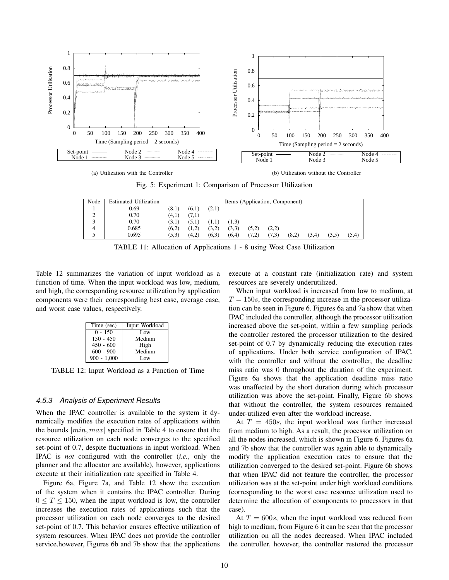

(a) Utilization with the Controller

(b) Utilization without the Controller

Fig. 5: Experiment 1: Comparison of Processor Utilization

| Node | <b>Estimated Utilization</b> |       |       |       |       | Items (Application, Component) |       |       |       |       |       |
|------|------------------------------|-------|-------|-------|-------|--------------------------------|-------|-------|-------|-------|-------|
|      | 0.69                         | (8,1) | (6,1) | (2,1) |       |                                |       |       |       |       |       |
|      | 0.70                         | (4,1) | (7,1) |       |       |                                |       |       |       |       |       |
|      | 0.70                         | (3.1) | (5,1) | 1,1)  | (1,3) |                                |       |       |       |       |       |
| 4    | 0.685                        | (6.2) | (1,2) | (3,2) | (3,3) | (5,2)                          | (2,2) |       |       |       |       |
|      | 0.695                        | (5.3) | (4,2) | (6,3) | (6,4) | (7,2)                          | (7,3) | (8,2) | (3,4) | (3,5) | (5,4) |

TABLE 11: Allocation of Applications 1 - 8 using Wost Case Utilization

Table 12 summarizes the variation of input workload as a function of time. When the input workload was low, medium, and high, the corresponding resource utilization by application components were their corresponding best case, average case, and worst case values, respectively.

| Time (sec)    | Input Workload |
|---------------|----------------|
| $0 - 150$     | Low            |
| $150 - 450$   | Medium         |
| $450 - 600$   | High           |
| $600 - 900$   | Medium         |
| $900 - 1,000$ | Low            |

TABLE 12: Input Workload as a Function of Time

#### *4.5.3 Analysis of Experiment Results*

When the IPAC controller is available to the system it dynamically modifies the execution rates of applications within the bounds  $[min, max]$  specified in Table 4 to ensure that the resource utilization on each node converges to the specified set-point of 0.7, despite fluctuations in input workload. When IPAC is *not* configured with the controller (*i.e.*, only the planner and the allocator are available), however, applications execute at their initialization rate specified in Table 4.

Figure 6a, Figure 7a, and Table 12 show the execution of the system when it contains the IPAC controller. During  $0 \le T \le 150$ , when the input workload is low, the controller increases the execution rates of applications such that the processor utilization on each node converges to the desired set-point of 0.7. This behavior ensures effective utilization of system resources. When IPAC does not provide the controller service,however, Figures 6b and 7b show that the applications execute at a constant rate (initialization rate) and system resources are severely underutilized.

When input workload is increased from low to medium, at  $T = 150s$ , the corresponding increase in the processor utilization can be seen in Figure 6. Figures 6a and 7a show that when IPAC included the controller, although the processor utilization increased above the set-point, within a few sampling periods the controller restored the processor utilization to the desired set-point of 0.7 by dynamically reducing the execution rates of applications. Under both service configuration of IPAC, with the controller and without the controller, the deadline miss ratio was 0 throughout the duration of the experiment. Figure 6a shows that the application deadline miss ratio was unaffected by the short duration during which processor utilization was above the set-point. Finally, Figure 6b shows that without the controller, the system resources remained under-utilized even after the workload increase.

At  $T = 450s$ , the input workload was further increased from medium to high. As a result, the processor utilization on all the nodes increased, which is shown in Figure 6. Figures 6a and 7b show that the controller was again able to dynamically modify the application execution rates to ensure that the utilization converged to the desired set-point. Figure 6b shows that when IPAC did not feature the controller, the processor utilization was at the set-point under high workload conditions (corresponding to the worst case resource utilization used to determine the allocation of components to processors in that case).

At  $T = 600s$ , when the input workload was reduced from high to medium, from Figure 6 it can be seen that the processor utilization on all the nodes decreased. When IPAC included the controller, however, the controller restored the processor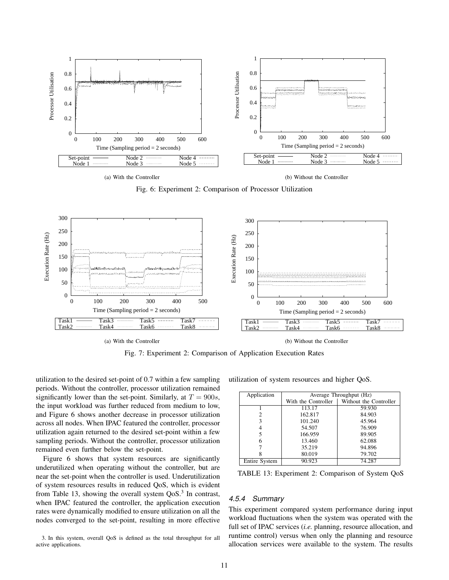

(a) With the Controller

(b) Without the Controller

Fig. 6: Experiment 2: Comparison of Processor Utilization



(a) With the Controller

(b) Without the Controller

Fig. 7: Experiment 2: Comparison of Application Execution Rates

utilization to the desired set-point of 0.7 within a few sampling periods. Without the controller, processor utilization remained significantly lower than the set-point. Similarly, at  $T = 900s$ , the input workload was further reduced from medium to low, and Figure 6 shows another decrease in processor utilization across all nodes. When IPAC featured the controller, processor utilization again returned to the desired set-point within a few sampling periods. Without the controller, processor utilization remained even further below the set-point.

Figure 6 shows that system resources are significantly underutilized when operating without the controller, but are near the set-point when the controller is used. Underutilization of system resources results in reduced QoS, which is evident from Table 13, showing the overall system QoS.<sup>3</sup> In contrast, when IPAC featured the controller, the application execution rates were dynamically modified to ensure utilization on all the nodes converged to the set-point, resulting in more effective

3. In this system, overall QoS is defined as the total throughput for all active applications.

utilization of system resources and higher QoS.

| Application   | Average Throughput (Hz) |                        |
|---------------|-------------------------|------------------------|
|               | With the Controller     | Without the Controller |
|               | 113.17                  | 59.930                 |
|               | 162.817                 | 84.903                 |
| 3             | 101.240                 | 45.964                 |
|               | 54.507                  | 76.909                 |
| 5             | 166.959                 | 89.905                 |
|               | 13.460                  | 62.088                 |
|               | 35.219                  | 94.896                 |
|               | 80.019                  | 79.702                 |
| Entire System | 90.923                  | 74.287                 |

TABLE 13: Experiment 2: Comparison of System QoS

### *4.5.4 Summary*

This experiment compared system performance during input workload fluctuations when the system was operated with the full set of IPAC services (*i.e.* planning, resource allocation, and runtime control) versus when only the planning and resource allocation services were available to the system. The results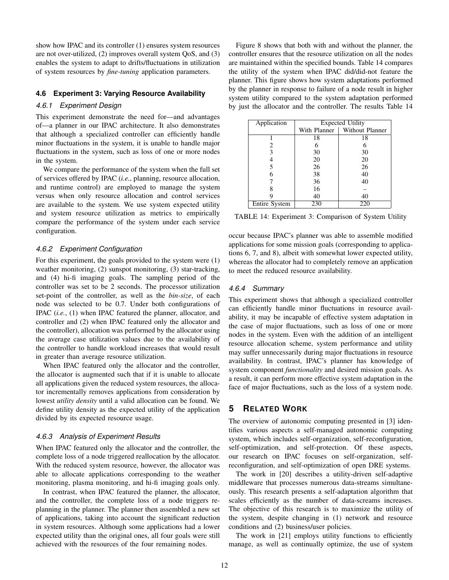show how IPAC and its controller (1) ensures system resources are not over-utilized, (2) improves overall system QoS, and (3) enables the system to adapt to drifts/fluctuations in utilization of system resources by *fine-tuning* application parameters.

#### **4.6 Experiment 3: Varying Resource Availability**

#### *4.6.1 Experiment Design*

This experiment demonstrate the need for—and advantages of—a planner in our IPAC architecture. It also demonstrates that although a specialized controller can efficiently handle minor fluctuations in the system, it is unable to handle major fluctuations in the system, such as loss of one or more nodes in the system.

We compare the performance of the system when the full set of services offered by IPAC (*i.e.*, planning, resource allocation, and runtime control) are employed to manage the system versus when only resource allocation and control services are available to the system. We use system expected utility and system resource utilization as metrics to empirically compare the performance of the system under each service configuration.

#### *4.6.2 Experiment Configuration*

For this experiment, the goals provided to the system were (1) weather monitoring, (2) sunspot monitoring, (3) star-tracking, and (4) hi-fi imaging goals. The sampling period of the controller was set to be 2 seconds. The processor utilization set-point of the controller, as well as the *bin-size*, of each node was selected to be 0.7. Under both configurations of IPAC (*i.e.*, (1) when IPAC featured the planner, allocator, and controller and (2) when IPAC featured only the allocator and the controller), allocation was performed by the allocator using the average case utilization values due to the availability of the controller to handle workload increases that would result in greater than average resource utilization.

When IPAC featured only the allocator and the controller, the allocator is augmented such that if it is unable to allocate all applications given the reduced system resources, the allocator incrementally removes applications from consideration by lowest *utility density* until a valid allocation can be found. We define utility density as the expected utility of the application divided by its expected resource usage.

#### *4.6.3 Analysis of Experiment Results*

When IPAC featured only the allocator and the controller, the complete loss of a node triggered reallocation by the allocator. With the reduced system resource, however, the allocator was able to allocate applications corresponding to the weather monitoring, plasma monitoring, and hi-fi imaging goals only.

In contrast, when IPAC featured the planner, the allocator, and the controller, the complete loss of a node triggers replanning in the planner. The planner then assembled a new set of applications, taking into account the significant reduction in system resources. Although some applications had a lower expected utility than the original ones, all four goals were still achieved with the resources of the four remaining nodes.

Figure 8 shows that both with and without the planner, the controller ensures that the resource utilization on all the nodes are maintained within the specified bounds. Table 14 compares the utility of the system when IPAC did/did-not feature the planner. This figure shows how system adaptations performed by the planner in response to failure of a node result in higher system utility compared to the system adaptation performed by just the allocator and the controller. The results Table 14

| Application   | <b>Expected Utility</b> |                                |
|---------------|-------------------------|--------------------------------|
|               |                         | With Planner   Without Planner |
|               | 18                      | 18                             |
| 2             |                         |                                |
| 3             | 30                      | 30                             |
|               | 20                      | 20                             |
|               | 26                      | 26                             |
|               | 38                      | 40                             |
|               | 36                      | 40                             |
|               | 16                      |                                |
|               | 40                      | 40                             |
| Entire System | 230                     | 221                            |

TABLE 14: Experiment 3: Comparison of System Utility

occur because IPAC's planner was able to assemble modified applications for some mission goals (corresponding to applications 6, 7, and 8), albeit with somewhat lower expected utility, whereas the allocator had to completely remove an application to meet the reduced resource availability.

#### *4.6.4 Summary*

This experiment shows that although a specialized controller can efficiently handle minor fluctuations in resource availability, it may be incapable of effective system adaptation in the case of major fluctuations, such as loss of one or more nodes in the system. Even with the addition of an intelligent resource allocation scheme, system performance and utility may suffer unnecessarily during major fluctuations in resource availability. In contrast, IPAC's planner has knowledge of system component *functionality* and desired mission goals. As a result, it can perform more effective system adaptation in the face of major fluctuations, such as the loss of a system node.

### **5 RELATED WORK**

The overview of autonomic computing presented in [3] identifies various aspects a self-managed autonomic computing system, which includes self-organization, self-reconfiguration, self-optimization, and self-protection. Of these aspects, our research on IPAC focuses on self-organization, selfreconfiguration, and self-optimization of open DRE systems.

The work in [20] describes a utility-driven self-adaptive middleware that processes numerous data-streams simultaneously. This research presents a self-adaptation algorithm that scales efficiently as the number of data-screams increases. The objective of this research is to maximize the utility of the system, despite changing in (1) network and resource conditions and (2) business/user policies.

The work in [21] employs utility functions to efficiently manage, as well as continually optimize, the use of system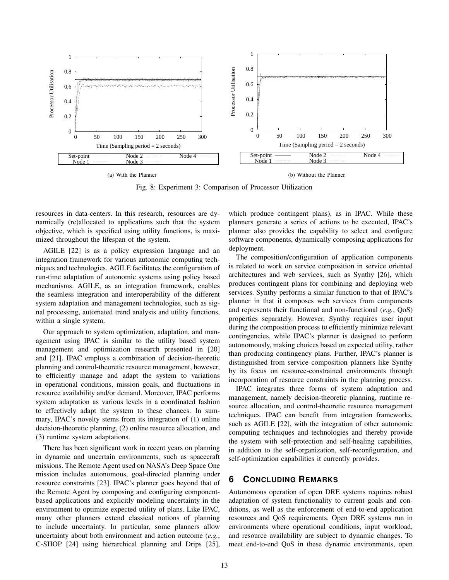

(a) With the Planner

(b) Without the Planner

Fig. 8: Experiment 3: Comparison of Processor Utilization

resources in data-centers. In this research, resources are dynamically (re)allocated to applications such that the system objective, which is specified using utility functions, is maximized throughout the lifespan of the system.

AGILE [22] is as a policy expression language and an integration framework for various autonomic computing techniques and technologies. AGILE facilitates the configuration of run-time adaptation of autonomic systems using policy based mechanisms. AGILE, as an integration framework, enables the seamless integration and interoperability of the different system adaptation and management technologies, such as signal processing, automated trend analysis and utility functions, within a single system.

Our approach to system optimization, adaptation, and management using IPAC is similar to the utility based system management and optimization research presented in [20] and [21]. IPAC employs a combination of decision-theoretic planning and control-theoretic resource management, however, to efficiently manage and adapt the system to variations in operational conditions, mission goals, and fluctuations in resource availability and/or demand. Moreover, IPAC performs system adaptation as various levels in a coordinated fashion to effectively adapt the system to these chances. In summary, IPAC's novelty stems from its integration of (1) online decision-theoretic planning, (2) online resource allocation, and (3) runtime system adaptations.

There has been significant work in recent years on planning in dynamic and uncertain environments, such as spacecraft missions. The Remote Agent used on NASA's Deep Space One mission includes autonomous, goal-directed planning under resource constraints [23]. IPAC's planner goes beyond that of the Remote Agent by composing and configuring componentbased applications and explicitly modeling uncertainty in the environment to optimize expected utility of plans. Like IPAC, many other planners extend classical notions of planning to include uncertainty. In particular, some planners allow uncertainty about both environment and action outcome (*e.g.*, C-SHOP [24] using hierarchical planning and Drips [25],

which produce contingent plans), as in IPAC. While these planners generate a series of actions to be executed, IPAC's planner also provides the capability to select and configure software components, dynamically composing applications for deployment.

The composition/configuration of application components is related to work on service composition in service oriented architectures and web services, such as Synthy [26], which produces contingent plans for combining and deploying web services. Synthy performs a similar function to that of IPAC's planner in that it composes web services from components and represents their functional and non-functional (*e.g.*, QoS) properties separately. However, Synthy requires user input during the composition process to efficiently minimize relevant contingencies, while IPAC's planner is designed to perform autonomously, making choices based on expected utility, rather than producing contingency plans. Further, IPAC's planner is distinguished from service composition planners like Synthy by its focus on resource-constrained environments through incorporation of resource constraints in the planning process.

IPAC integrates three forms of system adaptation and management, namely decision-theoretic planning, runtime resource allocation, and control-theoretic resource management techniques. IPAC can benefit from integration frameworks, such as AGILE [22], with the integration of other autonomic computing techniques and technologies and thereby provide the system with self-protection and self-healing capabilities, in addition to the self-organization, self-reconfiguration, and self-optimization capabilities it currently provides.

### **6 CONCLUDING REMARKS**

Autonomous operation of open DRE systems requires robust adaptation of system functionality to current goals and conditions, as well as the enforcement of end-to-end application resources and QoS requirements. Open DRE systems run in environments where operational conditions, input workload, and resource availability are subject to dynamic changes. To meet end-to-end QoS in these dynamic environments, open